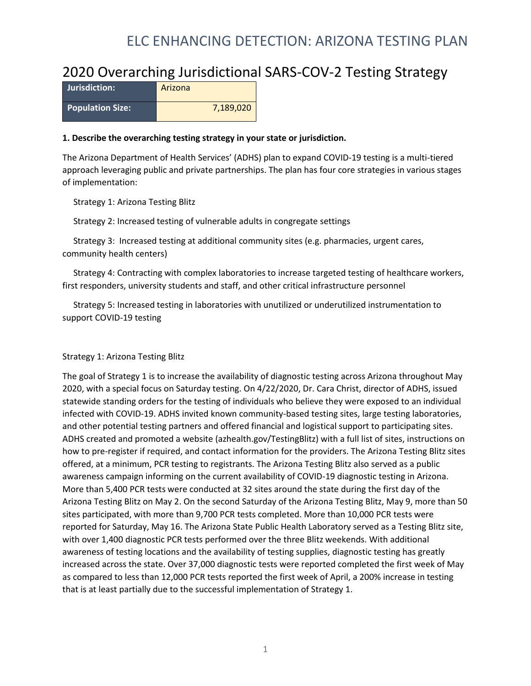#### 2020 Overarching Jurisdictional SARS-COV-2 Testing Strategy

| Uurisdiction:           | Arizona   |
|-------------------------|-----------|
| <b>Population Size:</b> | 7,189,020 |

#### **1. Describe the overarching testing strategy in your state or jurisdiction.**

The Arizona Department of Health Services' (ADHS) plan to expand COVID-19 testing is a multi-tiered approach leveraging public and private partnerships. The plan has four core strategies in various stages of implementation:

Strategy 1: Arizona Testing Blitz

Strategy 2: Increased testing of vulnerable adults in congregate settings

 Strategy 3: Increased testing at additional community sites (e.g. pharmacies, urgent cares, community health centers)

 Strategy 4: Contracting with complex laboratories to increase targeted testing of healthcare workers, first responders, university students and staff, and other critical infrastructure personnel

 Strategy 5: Increased testing in laboratories with unutilized or underutilized instrumentation to support COVID-19 testing

#### Strategy 1: Arizona Testing Blitz

The goal of Strategy 1 is to increase the availability of diagnostic testing across Arizona throughout May 2020, with a special focus on Saturday testing. On 4/22/2020, Dr. Cara Christ, director of ADHS, issued statewide standing orders for the testing of individuals who believe they were exposed to an individual infected with COVID-19. ADHS invited known community-based testing sites, large testing laboratories, and other potential testing partners and offered financial and logistical support to participating sites. ADHS created and promoted a website (azhealth.gov/TestingBlitz) with a full list of sites, instructions on how to pre-register if required, and contact information for the providers. The Arizona Testing Blitz sites offered, at a minimum, PCR testing to registrants. The Arizona Testing Blitz also served as a public awareness campaign informing on the current availability of COVID-19 diagnostic testing in Arizona. More than 5,400 PCR tests were conducted at 32 sites around the state during the first day of the Arizona Testing Blitz on May 2. On the second Saturday of the Arizona Testing Blitz, May 9, more than 50 sites participated, with more than 9,700 PCR tests completed. More than 10,000 PCR tests were reported for Saturday, May 16. The Arizona State Public Health Laboratory served as a Testing Blitz site, with over 1,400 diagnostic PCR tests performed over the three Blitz weekends. With additional awareness of testing locations and the availability of testing supplies, diagnostic testing has greatly increased across the state. Over 37,000 diagnostic tests were reported completed the first week of May as compared to less than 12,000 PCR tests reported the first week of April, a 200% increase in testing that is at least partially due to the successful implementation of Strategy 1.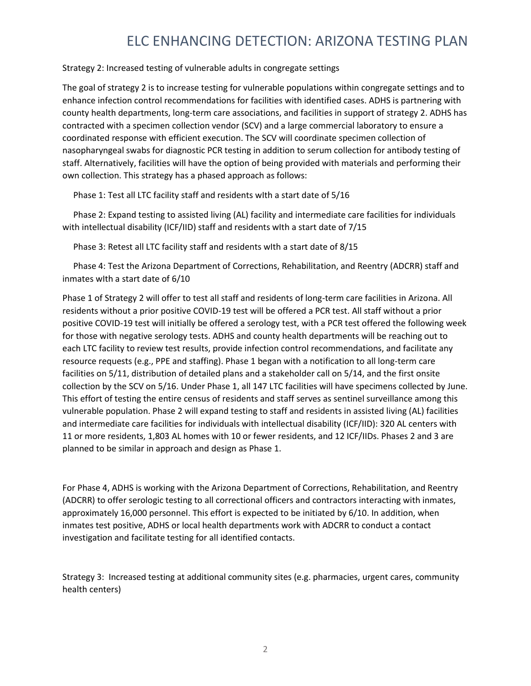#### Strategy 2: Increased testing of vulnerable adults in congregate settings

The goal of strategy 2 is to increase testing for vulnerable populations within congregate settings and to enhance infection control recommendations for facilities with identified cases. ADHS is partnering with county health departments, long-term care associations, and facilities in support of strategy 2. ADHS has contracted with a specimen collection vendor (SCV) and a large commercial laboratory to ensure a coordinated response with efficient execution. The SCV will coordinate specimen collection of nasopharyngeal swabs for diagnostic PCR testing in addition to serum collection for antibody testing of staff. Alternatively, facilities will have the option of being provided with materials and performing their own collection. This strategy has a phased approach as follows:

Phase 1: Test all LTC facility staff and residents wIth a start date of 5/16

 Phase 2: Expand testing to assisted living (AL) facility and intermediate care facilities for individuals with intellectual disability (ICF/IID) staff and residents wIth a start date of 7/15

Phase 3: Retest all LTC facility staff and residents wIth a start date of 8/15

 Phase 4: Test the Arizona Department of Corrections, Rehabilitation, and Reentry (ADCRR) staff and inmates wIth a start date of 6/10

Phase 1 of Strategy 2 will offer to test all staff and residents of long-term care facilities in Arizona. All residents without a prior positive COVID-19 test will be offered a PCR test. All staff without a prior positive COVID-19 test will initially be offered a serology test, with a PCR test offered the following week for those with negative serology tests. ADHS and county health departments will be reaching out to each LTC facility to review test results, provide infection control recommendations, and facilitate any resource requests (e.g., PPE and staffing). Phase 1 began with a notification to all long-term care facilities on 5/11, distribution of detailed plans and a stakeholder call on 5/14, and the first onsite collection by the SCV on 5/16. Under Phase 1, all 147 LTC facilities will have specimens collected by June. This effort of testing the entire census of residents and staff serves as sentinel surveillance among this vulnerable population. Phase 2 will expand testing to staff and residents in assisted living (AL) facilities and intermediate care facilities for individuals with intellectual disability (ICF/IID): 320 AL centers with 11 or more residents, 1,803 AL homes with 10 or fewer residents, and 12 ICF/IIDs. Phases 2 and 3 are planned to be similar in approach and design as Phase 1.

For Phase 4, ADHS is working with the Arizona Department of Corrections, Rehabilitation, and Reentry (ADCRR) to offer serologic testing to all correctional officers and contractors interacting with inmates, approximately 16,000 personnel. This effort is expected to be initiated by 6/10. In addition, when inmates test positive, ADHS or local health departments work with ADCRR to conduct a contact investigation and facilitate testing for all identified contacts.

Strategy 3: Increased testing at additional community sites (e.g. pharmacies, urgent cares, community health centers)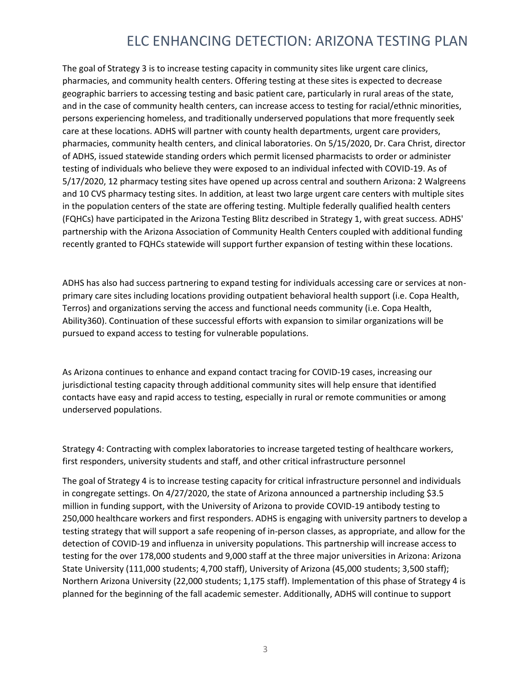The goal of Strategy 3 is to increase testing capacity in community sites like urgent care clinics, pharmacies, and community health centers. Offering testing at these sites is expected to decrease geographic barriers to accessing testing and basic patient care, particularly in rural areas of the state, and in the case of community health centers, can increase access to testing for racial/ethnic minorities, persons experiencing homeless, and traditionally underserved populations that more frequently seek care at these locations. ADHS will partner with county health departments, urgent care providers, pharmacies, community health centers, and clinical laboratories. On 5/15/2020, Dr. Cara Christ, director of ADHS, issued statewide standing orders which permit licensed pharmacists to order or administer testing of individuals who believe they were exposed to an individual infected with COVID-19. As of 5/17/2020, 12 pharmacy testing sites have opened up across central and southern Arizona: 2 Walgreens and 10 CVS pharmacy testing sites. In addition, at least two large urgent care centers with multiple sites in the population centers of the state are offering testing. Multiple federally qualified health centers (FQHCs) have participated in the Arizona Testing Blitz described in Strategy 1, with great success. ADHS' partnership with the Arizona Association of Community Health Centers coupled with additional funding recently granted to FQHCs statewide will support further expansion of testing within these locations.

ADHS has also had success partnering to expand testing for individuals accessing care or services at nonprimary care sites including locations providing outpatient behavioral health support (i.e. Copa Health, Terros) and organizations serving the access and functional needs community (i.e. Copa Health, Ability360). Continuation of these successful efforts with expansion to similar organizations will be pursued to expand access to testing for vulnerable populations.

As Arizona continues to enhance and expand contact tracing for COVID-19 cases, increasing our jurisdictional testing capacity through additional community sites will help ensure that identified contacts have easy and rapid access to testing, especially in rural or remote communities or among underserved populations.

Strategy 4: Contracting with complex laboratories to increase targeted testing of healthcare workers, first responders, university students and staff, and other critical infrastructure personnel

The goal of Strategy 4 is to increase testing capacity for critical infrastructure personnel and individuals in congregate settings. On 4/27/2020, the state of Arizona announced a partnership including \$3.5 million in funding support, with the University of Arizona to provide COVID-19 antibody testing to 250,000 healthcare workers and first responders. ADHS is engaging with university partners to develop a testing strategy that will support a safe reopening of in-person classes, as appropriate, and allow for the detection of COVID-19 and influenza in university populations. This partnership will increase access to testing for the over 178,000 students and 9,000 staff at the three major universities in Arizona: Arizona State University (111,000 students; 4,700 staff), University of Arizona (45,000 students; 3,500 staff); Northern Arizona University (22,000 students; 1,175 staff). Implementation of this phase of Strategy 4 is planned for the beginning of the fall academic semester. Additionally, ADHS will continue to support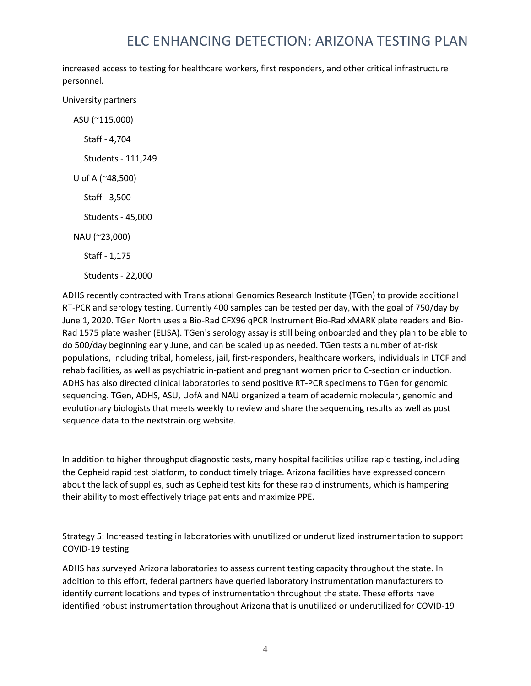increased access to testing for healthcare workers, first responders, and other critical infrastructure personnel.

University partners

 ASU (~115,000) Staff - 4,704 Students - 111,249 U of A (~48,500) Staff - 3,500 Students - 45,000 NAU (~23,000) Staff - 1,175 Students - 22,000

ADHS recently contracted with Translational Genomics Research Institute (TGen) to provide additional RT-PCR and serology testing. Currently 400 samples can be tested per day, with the goal of 750/day by June 1, 2020. TGen North uses a Bio-Rad CFX96 qPCR Instrument Bio-Rad xMARK plate readers and Bio-Rad 1575 plate washer (ELISA). TGen's serology assay is still being onboarded and they plan to be able to do 500/day beginning early June, and can be scaled up as needed. TGen tests a number of at-risk populations, including tribal, homeless, jail, first-responders, healthcare workers, individuals in LTCF and rehab facilities, as well as psychiatric in-patient and pregnant women prior to C-section or induction. ADHS has also directed clinical laboratories to send positive RT-PCR specimens to TGen for genomic sequencing. TGen, ADHS, ASU, UofA and NAU organized a team of academic molecular, genomic and evolutionary biologists that meets weekly to review and share the sequencing results as well as post sequence data to the nextstrain.org website.

In addition to higher throughput diagnostic tests, many hospital facilities utilize rapid testing, including the Cepheid rapid test platform, to conduct timely triage. Arizona facilities have expressed concern about the lack of supplies, such as Cepheid test kits for these rapid instruments, which is hampering their ability to most effectively triage patients and maximize PPE.

Strategy 5: Increased testing in laboratories with unutilized or underutilized instrumentation to support COVID-19 testing

ADHS has surveyed Arizona laboratories to assess current testing capacity throughout the state. In addition to this effort, federal partners have queried laboratory instrumentation manufacturers to identify current locations and types of instrumentation throughout the state. These efforts have identified robust instrumentation throughout Arizona that is unutilized or underutilized for COVID-19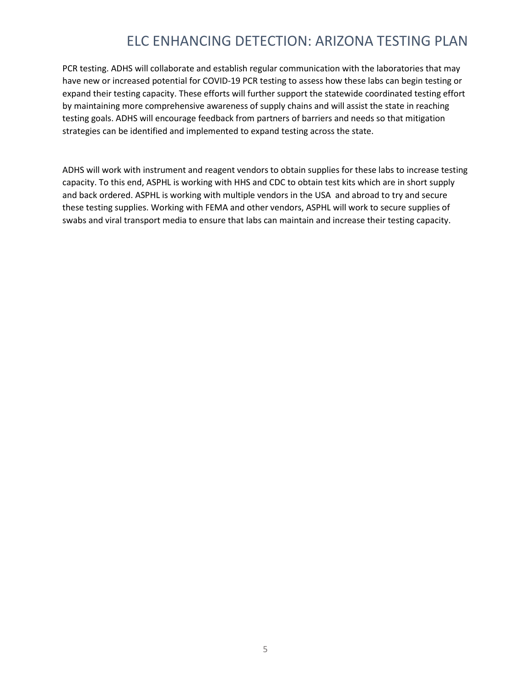PCR testing. ADHS will collaborate and establish regular communication with the laboratories that may have new or increased potential for COVID-19 PCR testing to assess how these labs can begin testing or expand their testing capacity. These efforts will further support the statewide coordinated testing effort by maintaining more comprehensive awareness of supply chains and will assist the state in reaching testing goals. ADHS will encourage feedback from partners of barriers and needs so that mitigation strategies can be identified and implemented to expand testing across the state.

ADHS will work with instrument and reagent vendors to obtain supplies for these labs to increase testing capacity. To this end, ASPHL is working with HHS and CDC to obtain test kits which are in short supply and back ordered. ASPHL is working with multiple vendors in the USA and abroad to try and secure these testing supplies. Working with FEMA and other vendors, ASPHL will work to secure supplies of swabs and viral transport media to ensure that labs can maintain and increase their testing capacity.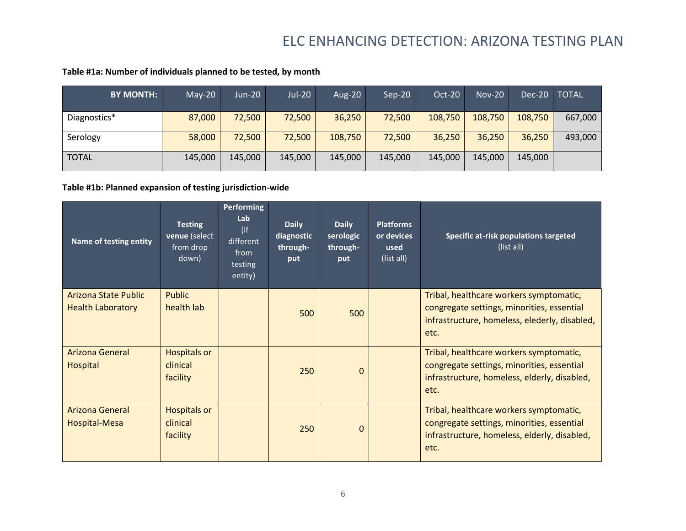| <b>BY MONTH:</b> | $May-20$ | $Jun-20$ | Jul-20  | Aug-20  | $Sep-20$ | <b>Oct-20</b> | <b>Nov-20</b> | Dec-20  | <b>TOTAL</b> |
|------------------|----------|----------|---------|---------|----------|---------------|---------------|---------|--------------|
| Diagnostics*     | 87,000   | 72,500   | 72,500  | 36,250  | 72,500   | 108,750       | 108,750       | 108,750 | 667,000      |
| Serology         | 58,000   | 72,500   | 72,500  | 108,750 | 72,500   | 36,250        | 36,250        | 36,250  | 493,000      |
| <b>TOTAL</b>     | 145,000  | 145,000  | 145,000 | 145,000 | 145,000  | 145,000       | 145,000       | 145.000 |              |

#### **Table #1a: Number of individuals planned to be tested, by month**

#### **Table #1b: Planned expansion of testing jurisdiction-wide**

| <b>Name of testing entity</b>                           | <b>Testing</b><br>venue (select<br>from drop<br>down) | <b>Performing</b><br>Lab<br>(if<br>different<br>from<br>testing<br>entity) | <b>Daily</b><br>diagnostic<br>through-<br>put | <b>Daily</b><br>serologic<br>through-<br>put | <b>Platforms</b><br>or devices<br>used<br>(list all) | Specific at-risk populations targeted<br>(list all)                                                                                            |
|---------------------------------------------------------|-------------------------------------------------------|----------------------------------------------------------------------------|-----------------------------------------------|----------------------------------------------|------------------------------------------------------|------------------------------------------------------------------------------------------------------------------------------------------------|
| <b>Arizona State Public</b><br><b>Health Laboratory</b> | <b>Public</b><br>health lab                           |                                                                            | 500                                           | 500                                          |                                                      | Tribal, healthcare workers symptomatic,<br>congregate settings, minorities, essential<br>infrastructure, homeless, elederly, disabled,<br>etc. |
| <b>Arizona General</b><br><b>Hospital</b>               | <b>Hospitals or</b><br>clinical<br>facility           |                                                                            | 250                                           | $\Omega$                                     |                                                      | Tribal, healthcare workers symptomatic,<br>congregate settings, minorities, essential<br>infrastructure, homeless, elderly, disabled,<br>etc.  |
| <b>Arizona General</b><br>Hospital-Mesa                 | <b>Hospitals or</b><br>clinical<br>facility           |                                                                            | 250                                           | $\Omega$                                     |                                                      | Tribal, healthcare workers symptomatic,<br>congregate settings, minorities, essential<br>infrastructure, homeless, elderly, disabled,<br>etc.  |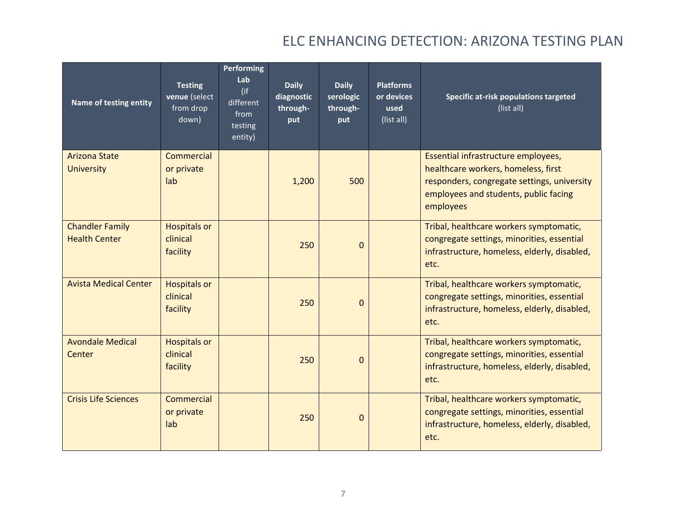| Name of testing entity                         | <b>Testing</b><br>venue (select<br>from drop<br>down) | <b>Performing</b><br>Lab<br>(if<br>different<br>from<br>testing<br>entity) | <b>Daily</b><br>diagnostic<br>through-<br>put | <b>Daily</b><br>serologic<br>through-<br>put | <b>Platforms</b><br>or devices<br>used<br>(list all) | Specific at-risk populations targeted<br>(list all)                                                                                                                             |
|------------------------------------------------|-------------------------------------------------------|----------------------------------------------------------------------------|-----------------------------------------------|----------------------------------------------|------------------------------------------------------|---------------------------------------------------------------------------------------------------------------------------------------------------------------------------------|
| <b>Arizona State</b><br><b>University</b>      | Commercial<br>or private<br>lab                       |                                                                            | 1,200                                         | 500                                          |                                                      | Essential infrastructure employees,<br>healthcare workers, homeless, first<br>responders, congregate settings, university<br>employees and students, public facing<br>employees |
| <b>Chandler Family</b><br><b>Health Center</b> | <b>Hospitals or</b><br>clinical<br>facility           |                                                                            | 250                                           | $\Omega$                                     |                                                      | Tribal, healthcare workers symptomatic,<br>congregate settings, minorities, essential<br>infrastructure, homeless, elderly, disabled,<br>etc.                                   |
| <b>Avista Medical Center</b>                   | <b>Hospitals or</b><br>clinical<br>facility           |                                                                            | 250                                           | $\Omega$                                     |                                                      | Tribal, healthcare workers symptomatic,<br>congregate settings, minorities, essential<br>infrastructure, homeless, elderly, disabled,<br>etc.                                   |
| <b>Avondale Medical</b><br>Center              | <b>Hospitals or</b><br>clinical<br>facility           |                                                                            | 250                                           | $\Omega$                                     |                                                      | Tribal, healthcare workers symptomatic,<br>congregate settings, minorities, essential<br>infrastructure, homeless, elderly, disabled,<br>etc.                                   |
| <b>Crisis Life Sciences</b>                    | Commercial<br>or private<br>lab                       |                                                                            | 250                                           | $\overline{0}$                               |                                                      | Tribal, healthcare workers symptomatic,<br>congregate settings, minorities, essential<br>infrastructure, homeless, elderly, disabled,<br>etc.                                   |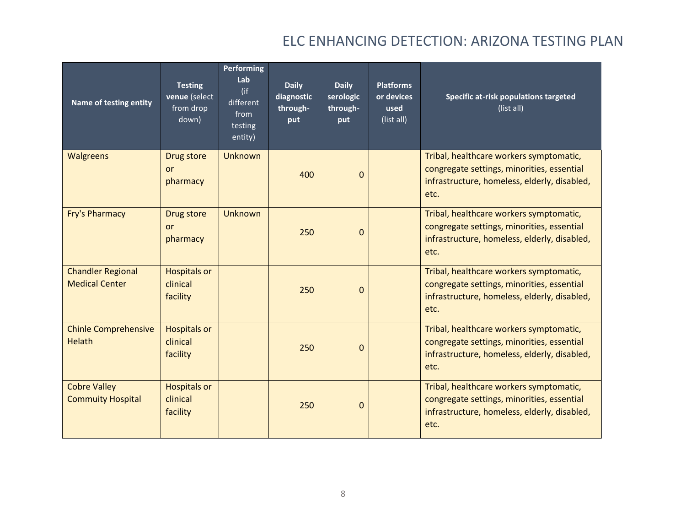| Name of testing entity                            | <b>Testing</b><br>venue (select<br>from drop<br>down) | <b>Performing</b><br>Lab<br>(if<br>different<br>from<br>testing<br>entity) | <b>Daily</b><br>diagnostic<br>through-<br>put | <b>Daily</b><br>serologic<br>through-<br>put | <b>Platforms</b><br>or devices<br>used<br>(list all) | Specific at-risk populations targeted<br>(list all)                                                                                           |
|---------------------------------------------------|-------------------------------------------------------|----------------------------------------------------------------------------|-----------------------------------------------|----------------------------------------------|------------------------------------------------------|-----------------------------------------------------------------------------------------------------------------------------------------------|
| <b>Walgreens</b>                                  | Drug store<br><b>or</b><br>pharmacy                   | <b>Unknown</b>                                                             | 400                                           | $\Omega$                                     |                                                      | Tribal, healthcare workers symptomatic,<br>congregate settings, minorities, essential<br>infrastructure, homeless, elderly, disabled,<br>etc. |
| <b>Fry's Pharmacy</b>                             | Drug store<br>or<br>pharmacy                          | <b>Unknown</b>                                                             | 250                                           | $\overline{0}$                               |                                                      | Tribal, healthcare workers symptomatic,<br>congregate settings, minorities, essential<br>infrastructure, homeless, elderly, disabled,<br>etc. |
| <b>Chandler Regional</b><br><b>Medical Center</b> | <b>Hospitals or</b><br>clinical<br>facility           |                                                                            | 250                                           | $\Omega$                                     |                                                      | Tribal, healthcare workers symptomatic,<br>congregate settings, minorities, essential<br>infrastructure, homeless, elderly, disabled,<br>etc. |
| <b>Chinle Comprehensive</b><br><b>Helath</b>      | <b>Hospitals or</b><br>clinical<br>facility           |                                                                            | 250                                           | $\Omega$                                     |                                                      | Tribal, healthcare workers symptomatic,<br>congregate settings, minorities, essential<br>infrastructure, homeless, elderly, disabled,<br>etc. |
| <b>Cobre Valley</b><br><b>Commuity Hospital</b>   | <b>Hospitals or</b><br>clinical<br>facility           |                                                                            | 250                                           | $\overline{0}$                               |                                                      | Tribal, healthcare workers symptomatic,<br>congregate settings, minorities, essential<br>infrastructure, homeless, elderly, disabled,<br>etc. |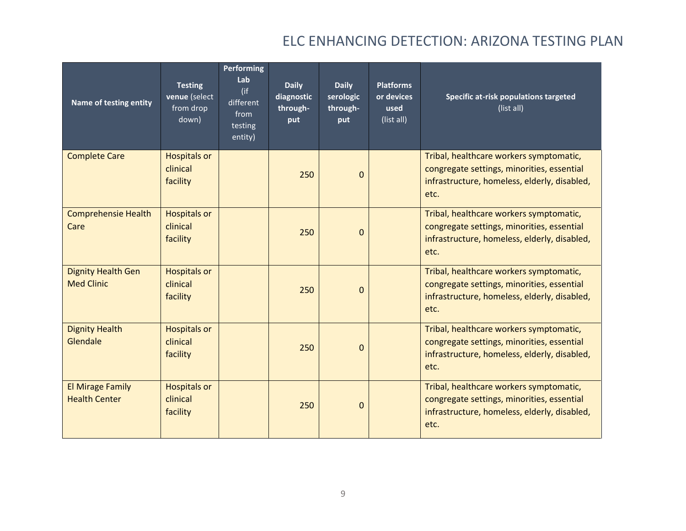| Name of testing entity                          | <b>Testing</b><br>venue (select<br>from drop<br>down) | <b>Performing</b><br>Lab<br>(if<br>different<br>from<br>testing<br>entity) | <b>Daily</b><br>diagnostic<br>through-<br>put | <b>Daily</b><br>serologic<br>through-<br>put | <b>Platforms</b><br>or devices<br>used<br>(list all) | Specific at-risk populations targeted<br>(list all)                                                                                           |
|-------------------------------------------------|-------------------------------------------------------|----------------------------------------------------------------------------|-----------------------------------------------|----------------------------------------------|------------------------------------------------------|-----------------------------------------------------------------------------------------------------------------------------------------------|
| <b>Complete Care</b>                            | <b>Hospitals or</b><br>clinical<br>facility           |                                                                            | 250                                           | $\Omega$                                     |                                                      | Tribal, healthcare workers symptomatic,<br>congregate settings, minorities, essential<br>infrastructure, homeless, elderly, disabled,<br>etc. |
| <b>Comprehensie Health</b><br>Care              | <b>Hospitals or</b><br>clinical<br>facility           |                                                                            | 250                                           | $\Omega$                                     |                                                      | Tribal, healthcare workers symptomatic,<br>congregate settings, minorities, essential<br>infrastructure, homeless, elderly, disabled,<br>etc. |
| <b>Dignity Health Gen</b><br><b>Med Clinic</b>  | <b>Hospitals or</b><br>clinical<br>facility           |                                                                            | 250                                           | $\Omega$                                     |                                                      | Tribal, healthcare workers symptomatic,<br>congregate settings, minorities, essential<br>infrastructure, homeless, elderly, disabled,<br>etc. |
| <b>Dignity Health</b><br>Glendale               | <b>Hospitals or</b><br>clinical<br>facility           |                                                                            | 250                                           | $\Omega$                                     |                                                      | Tribal, healthcare workers symptomatic,<br>congregate settings, minorities, essential<br>infrastructure, homeless, elderly, disabled,<br>etc. |
| <b>El Mirage Family</b><br><b>Health Center</b> | <b>Hospitals or</b><br>clinical<br>facility           |                                                                            | 250                                           | $\overline{0}$                               |                                                      | Tribal, healthcare workers symptomatic,<br>congregate settings, minorities, essential<br>infrastructure, homeless, elderly, disabled,<br>etc. |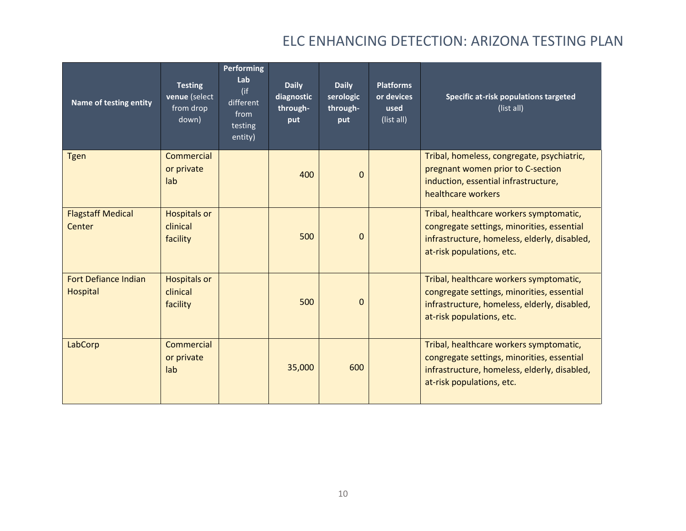| Name of testing entity                         | <b>Testing</b><br>venue (select<br>from drop<br>down) | <b>Performing</b><br>Lab<br>(if<br>different<br>from<br>testing<br>entity) | <b>Daily</b><br>diagnostic<br>through-<br>put | <b>Daily</b><br>serologic<br>through-<br>put | <b>Platforms</b><br>or devices<br>used<br>(list all) | Specific at-risk populations targeted<br>(list all)                                                                                                                |
|------------------------------------------------|-------------------------------------------------------|----------------------------------------------------------------------------|-----------------------------------------------|----------------------------------------------|------------------------------------------------------|--------------------------------------------------------------------------------------------------------------------------------------------------------------------|
| <b>Tgen</b>                                    | Commercial<br>or private<br>lab                       |                                                                            | 400                                           | $\mathbf{0}$                                 |                                                      | Tribal, homeless, congregate, psychiatric,<br>pregnant women prior to C-section<br>induction, essential infrastructure,<br>healthcare workers                      |
| <b>Flagstaff Medical</b><br>Center             | <b>Hospitals or</b><br>clinical<br>facility           |                                                                            | 500                                           | $\Omega$                                     |                                                      | Tribal, healthcare workers symptomatic,<br>congregate settings, minorities, essential<br>infrastructure, homeless, elderly, disabled,<br>at-risk populations, etc. |
| <b>Fort Defiance Indian</b><br><b>Hospital</b> | <b>Hospitals or</b><br>clinical<br>facility           |                                                                            | 500                                           | $\Omega$                                     |                                                      | Tribal, healthcare workers symptomatic,<br>congregate settings, minorities, essential<br>infrastructure, homeless, elderly, disabled,<br>at-risk populations, etc. |
| LabCorp                                        | Commercial<br>or private<br>lab                       |                                                                            | 35,000                                        | 600                                          |                                                      | Tribal, healthcare workers symptomatic,<br>congregate settings, minorities, essential<br>infrastructure, homeless, elderly, disabled,<br>at-risk populations, etc. |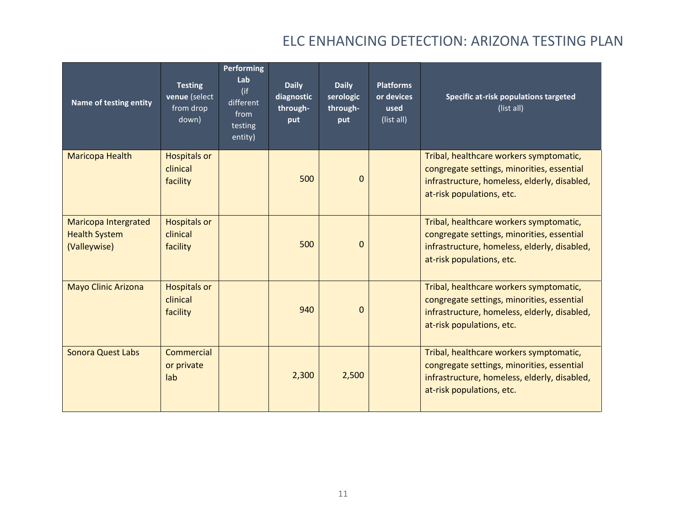| Name of testing entity                                              | <b>Testing</b><br>venue (select<br>from drop<br>down) | <b>Performing</b><br>Lab<br>(if<br>different<br>from<br>testing<br>entity) | <b>Daily</b><br>diagnostic<br>through-<br>put | <b>Daily</b><br>serologic<br>through-<br>put | <b>Platforms</b><br>or devices<br>used<br>(list all) | Specific at-risk populations targeted<br>(list all)                                                                                                                |
|---------------------------------------------------------------------|-------------------------------------------------------|----------------------------------------------------------------------------|-----------------------------------------------|----------------------------------------------|------------------------------------------------------|--------------------------------------------------------------------------------------------------------------------------------------------------------------------|
| Maricopa Health                                                     | <b>Hospitals or</b><br>clinical<br>facility           |                                                                            | 500                                           | $\Omega$                                     |                                                      | Tribal, healthcare workers symptomatic,<br>congregate settings, minorities, essential<br>infrastructure, homeless, elderly, disabled,<br>at-risk populations, etc. |
| <b>Maricopa Intergrated</b><br><b>Health System</b><br>(Valleywise) | <b>Hospitals or</b><br>clinical<br>facility           |                                                                            | 500                                           | $\Omega$                                     |                                                      | Tribal, healthcare workers symptomatic,<br>congregate settings, minorities, essential<br>infrastructure, homeless, elderly, disabled,<br>at-risk populations, etc. |
| <b>Mayo Clinic Arizona</b>                                          | <b>Hospitals or</b><br>clinical<br>facility           |                                                                            | 940                                           | $\Omega$                                     |                                                      | Tribal, healthcare workers symptomatic,<br>congregate settings, minorities, essential<br>infrastructure, homeless, elderly, disabled,<br>at-risk populations, etc. |
| <b>Sonora Quest Labs</b>                                            | Commercial<br>or private<br>lab                       |                                                                            | 2,300                                         | 2,500                                        |                                                      | Tribal, healthcare workers symptomatic,<br>congregate settings, minorities, essential<br>infrastructure, homeless, elderly, disabled,<br>at-risk populations, etc. |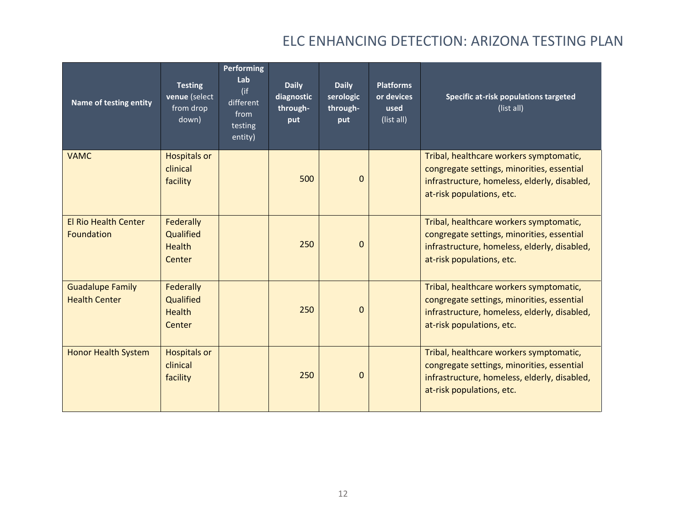| Name of testing entity                           | <b>Testing</b><br>venue (select<br>from drop<br>down) | <b>Performing</b><br>Lab<br>$($ if<br>different<br>from<br>testing<br>entity) | <b>Daily</b><br>diagnostic<br>through-<br>put | <b>Daily</b><br>serologic<br>through-<br>put | <b>Platforms</b><br>or devices<br>used<br>(list all) | Specific at-risk populations targeted<br>(list all)                                                                                                                |
|--------------------------------------------------|-------------------------------------------------------|-------------------------------------------------------------------------------|-----------------------------------------------|----------------------------------------------|------------------------------------------------------|--------------------------------------------------------------------------------------------------------------------------------------------------------------------|
| <b>VAMC</b>                                      | <b>Hospitals or</b><br>clinical<br>facility           |                                                                               | 500                                           | $\Omega$                                     |                                                      | Tribal, healthcare workers symptomatic,<br>congregate settings, minorities, essential<br>infrastructure, homeless, elderly, disabled,<br>at-risk populations, etc. |
| <b>El Rio Health Center</b><br><b>Foundation</b> | Federally<br>Qualified<br><b>Health</b><br>Center     |                                                                               | 250                                           | $\Omega$                                     |                                                      | Tribal, healthcare workers symptomatic,<br>congregate settings, minorities, essential<br>infrastructure, homeless, elderly, disabled,<br>at-risk populations, etc. |
| <b>Guadalupe Family</b><br><b>Health Center</b>  | Federally<br>Qualified<br><b>Health</b><br>Center     |                                                                               | 250                                           | $\Omega$                                     |                                                      | Tribal, healthcare workers symptomatic,<br>congregate settings, minorities, essential<br>infrastructure, homeless, elderly, disabled,<br>at-risk populations, etc. |
| <b>Honor Health System</b>                       | <b>Hospitals or</b><br>clinical<br>facility           |                                                                               | 250                                           | $\Omega$                                     |                                                      | Tribal, healthcare workers symptomatic,<br>congregate settings, minorities, essential<br>infrastructure, homeless, elderly, disabled,<br>at-risk populations, etc. |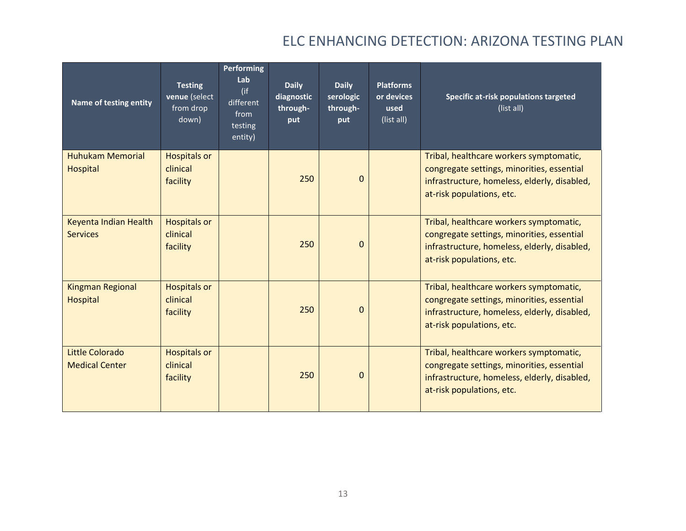| Name of testing entity                   | <b>Testing</b><br>venue (select<br>from drop<br>down) | <b>Performing</b><br>Lab<br>(if<br>different<br>from<br>testing<br>entity) | <b>Daily</b><br>diagnostic<br>through-<br>put | <b>Daily</b><br>serologic<br>through-<br>put | <b>Platforms</b><br>or devices<br>used<br>(list all) | Specific at-risk populations targeted<br>(list all)                                                                                                                |
|------------------------------------------|-------------------------------------------------------|----------------------------------------------------------------------------|-----------------------------------------------|----------------------------------------------|------------------------------------------------------|--------------------------------------------------------------------------------------------------------------------------------------------------------------------|
| <b>Huhukam Memorial</b><br>Hospital      | <b>Hospitals or</b><br>clinical<br>facility           |                                                                            | 250                                           | $\Omega$                                     |                                                      | Tribal, healthcare workers symptomatic,<br>congregate settings, minorities, essential<br>infrastructure, homeless, elderly, disabled,<br>at-risk populations, etc. |
| Keyenta Indian Health<br><b>Services</b> | <b>Hospitals or</b><br>clinical<br>facility           |                                                                            | 250                                           | $\Omega$                                     |                                                      | Tribal, healthcare workers symptomatic,<br>congregate settings, minorities, essential<br>infrastructure, homeless, elderly, disabled,<br>at-risk populations, etc. |
| <b>Kingman Regional</b><br>Hospital      | <b>Hospitals or</b><br>clinical<br>facility           |                                                                            | 250                                           | $\Omega$                                     |                                                      | Tribal, healthcare workers symptomatic,<br>congregate settings, minorities, essential<br>infrastructure, homeless, elderly, disabled,<br>at-risk populations, etc. |
| Little Colorado<br><b>Medical Center</b> | <b>Hospitals or</b><br>clinical<br>facility           |                                                                            | 250                                           | $\Omega$                                     |                                                      | Tribal, healthcare workers symptomatic,<br>congregate settings, minorities, essential<br>infrastructure, homeless, elderly, disabled,<br>at-risk populations, etc. |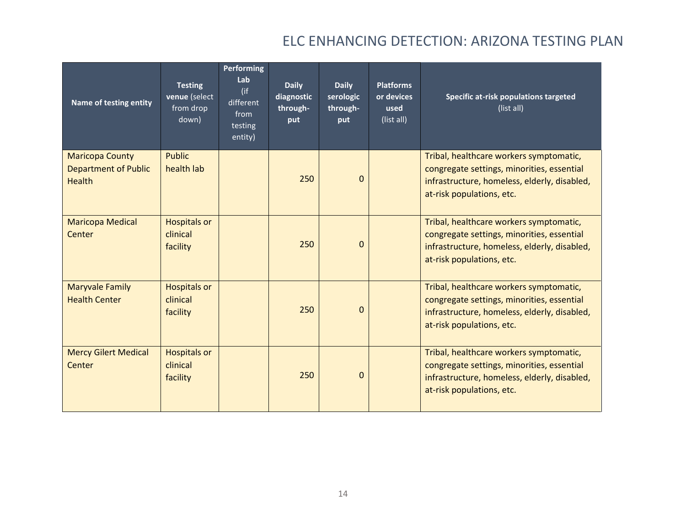| Name of testing entity                                                 | <b>Testing</b><br>venue (select<br>from drop<br>down) | <b>Performing</b><br>Lab<br>(if<br>different<br>from<br>testing<br>entity) | <b>Daily</b><br>diagnostic<br>through-<br>put | <b>Daily</b><br>serologic<br>through-<br>put | <b>Platforms</b><br>or devices<br>used<br>(list all) | Specific at-risk populations targeted<br>(list all)                                                                                                                |
|------------------------------------------------------------------------|-------------------------------------------------------|----------------------------------------------------------------------------|-----------------------------------------------|----------------------------------------------|------------------------------------------------------|--------------------------------------------------------------------------------------------------------------------------------------------------------------------|
| <b>Maricopa County</b><br><b>Department of Public</b><br><b>Health</b> | <b>Public</b><br>health lab                           |                                                                            | 250                                           | $\Omega$                                     |                                                      | Tribal, healthcare workers symptomatic,<br>congregate settings, minorities, essential<br>infrastructure, homeless, elderly, disabled,<br>at-risk populations, etc. |
| <b>Maricopa Medical</b><br>Center                                      | <b>Hospitals or</b><br>clinical<br>facility           |                                                                            | 250                                           | $\Omega$                                     |                                                      | Tribal, healthcare workers symptomatic,<br>congregate settings, minorities, essential<br>infrastructure, homeless, elderly, disabled,<br>at-risk populations, etc. |
| <b>Maryvale Family</b><br><b>Health Center</b>                         | <b>Hospitals or</b><br>clinical<br>facility           |                                                                            | 250                                           | $\Omega$                                     |                                                      | Tribal, healthcare workers symptomatic,<br>congregate settings, minorities, essential<br>infrastructure, homeless, elderly, disabled,<br>at-risk populations, etc. |
| <b>Mercy Gilert Medical</b><br>Center                                  | <b>Hospitals or</b><br>clinical<br>facility           |                                                                            | 250                                           | $\Omega$                                     |                                                      | Tribal, healthcare workers symptomatic,<br>congregate settings, minorities, essential<br>infrastructure, homeless, elderly, disabled,<br>at-risk populations, etc. |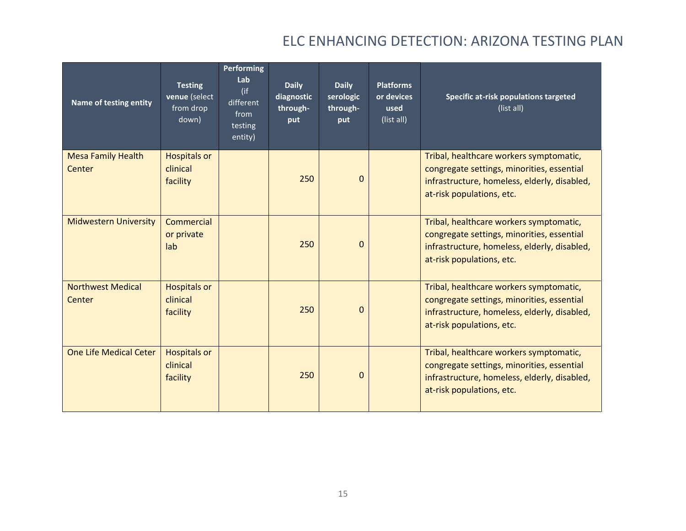| Name of testing entity              | <b>Testing</b><br>venue (select<br>from drop<br>down) | <b>Performing</b><br>Lab<br>$($ if<br>different<br>from<br>testing<br>entity) | <b>Daily</b><br>diagnostic<br>through-<br>put | <b>Daily</b><br>serologic<br>through-<br>put | <b>Platforms</b><br>or devices<br>used<br>(list all) | Specific at-risk populations targeted<br>(list all)                                                                                                                |
|-------------------------------------|-------------------------------------------------------|-------------------------------------------------------------------------------|-----------------------------------------------|----------------------------------------------|------------------------------------------------------|--------------------------------------------------------------------------------------------------------------------------------------------------------------------|
| <b>Mesa Family Health</b><br>Center | <b>Hospitals or</b><br>clinical<br>facility           |                                                                               | 250                                           | $\Omega$                                     |                                                      | Tribal, healthcare workers symptomatic,<br>congregate settings, minorities, essential<br>infrastructure, homeless, elderly, disabled,<br>at-risk populations, etc. |
| <b>Midwestern University</b>        | Commercial<br>or private<br>lab                       |                                                                               | 250                                           | $\Omega$                                     |                                                      | Tribal, healthcare workers symptomatic,<br>congregate settings, minorities, essential<br>infrastructure, homeless, elderly, disabled,<br>at-risk populations, etc. |
| <b>Northwest Medical</b><br>Center  | <b>Hospitals or</b><br>clinical<br>facility           |                                                                               | 250                                           | $\Omega$                                     |                                                      | Tribal, healthcare workers symptomatic,<br>congregate settings, minorities, essential<br>infrastructure, homeless, elderly, disabled,<br>at-risk populations, etc. |
| <b>One Life Medical Ceter</b>       | <b>Hospitals or</b><br>clinical<br>facility           |                                                                               | 250                                           | $\Omega$                                     |                                                      | Tribal, healthcare workers symptomatic,<br>congregate settings, minorities, essential<br>infrastructure, homeless, elderly, disabled,<br>at-risk populations, etc. |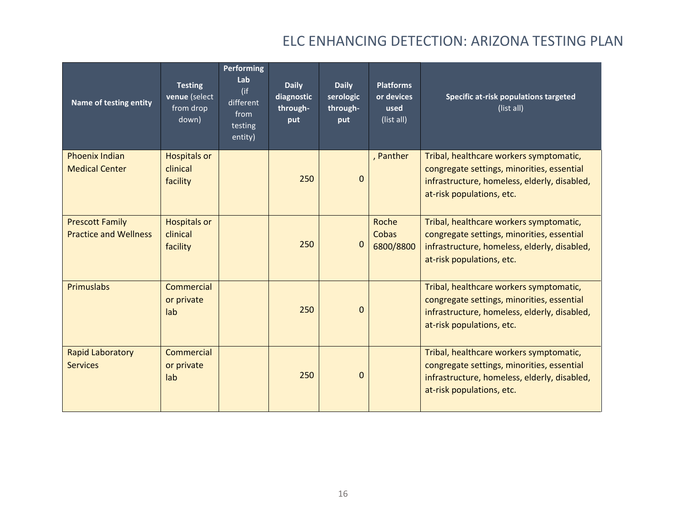| Name of testing entity                                 | <b>Testing</b><br>venue (select<br>from drop<br>down) | Performing<br>Lab<br>(if<br>different<br>from<br>testing<br>entity) | <b>Daily</b><br>diagnostic<br>through-<br>put | <b>Daily</b><br>serologic<br>through-<br>put | <b>Platforms</b><br>or devices<br>used<br>(list all) | Specific at-risk populations targeted<br>(list all)                                                                                                                |
|--------------------------------------------------------|-------------------------------------------------------|---------------------------------------------------------------------|-----------------------------------------------|----------------------------------------------|------------------------------------------------------|--------------------------------------------------------------------------------------------------------------------------------------------------------------------|
| <b>Phoenix Indian</b><br><b>Medical Center</b>         | <b>Hospitals or</b><br>clinical<br>facility           |                                                                     | 250                                           | $\Omega$                                     | , Panther                                            | Tribal, healthcare workers symptomatic,<br>congregate settings, minorities, essential<br>infrastructure, homeless, elderly, disabled,<br>at-risk populations, etc. |
| <b>Prescott Family</b><br><b>Practice and Wellness</b> | <b>Hospitals or</b><br>clinical<br>facility           |                                                                     | 250                                           | $\mathbf{0}$                                 | Roche<br>Cobas<br>6800/8800                          | Tribal, healthcare workers symptomatic,<br>congregate settings, minorities, essential<br>infrastructure, homeless, elderly, disabled,<br>at-risk populations, etc. |
| <b>Primuslabs</b>                                      | Commercial<br>or private<br>lab                       |                                                                     | 250                                           | $\Omega$                                     |                                                      | Tribal, healthcare workers symptomatic,<br>congregate settings, minorities, essential<br>infrastructure, homeless, elderly, disabled,<br>at-risk populations, etc. |
| <b>Rapid Laboratory</b><br><b>Services</b>             | Commercial<br>or private<br>lab                       |                                                                     | 250                                           | $\Omega$                                     |                                                      | Tribal, healthcare workers symptomatic,<br>congregate settings, minorities, essential<br>infrastructure, homeless, elderly, disabled,<br>at-risk populations, etc. |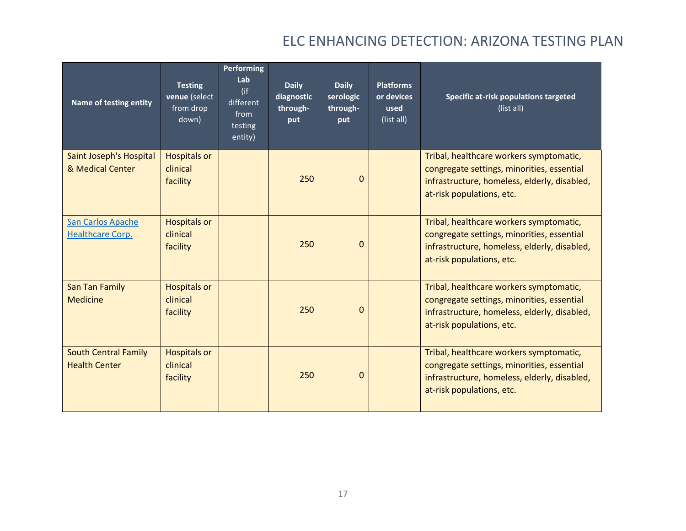| Name of testing entity                              | <b>Testing</b><br>venue (select<br>from drop<br>down) | <b>Performing</b><br>Lab<br>(if<br>different<br>from<br>testing<br>entity) | <b>Daily</b><br>diagnostic<br>through-<br>put | <b>Daily</b><br>serologic<br>through-<br>put | <b>Platforms</b><br>or devices<br>used<br>(list all) | Specific at-risk populations targeted<br>(list all)                                                                                                                |
|-----------------------------------------------------|-------------------------------------------------------|----------------------------------------------------------------------------|-----------------------------------------------|----------------------------------------------|------------------------------------------------------|--------------------------------------------------------------------------------------------------------------------------------------------------------------------|
| Saint Joseph's Hospital<br>& Medical Center         | <b>Hospitals or</b><br>clinical<br>facility           |                                                                            | 250                                           | $\Omega$                                     |                                                      | Tribal, healthcare workers symptomatic,<br>congregate settings, minorities, essential<br>infrastructure, homeless, elderly, disabled,<br>at-risk populations, etc. |
| San Carlos Apache<br>Healthcare Corp.               | <b>Hospitals or</b><br>clinical<br>facility           |                                                                            | 250                                           | $\Omega$                                     |                                                      | Tribal, healthcare workers symptomatic,<br>congregate settings, minorities, essential<br>infrastructure, homeless, elderly, disabled,<br>at-risk populations, etc. |
| <b>San Tan Family</b><br><b>Medicine</b>            | <b>Hospitals or</b><br>clinical<br>facility           |                                                                            | 250                                           | $\Omega$                                     |                                                      | Tribal, healthcare workers symptomatic,<br>congregate settings, minorities, essential<br>infrastructure, homeless, elderly, disabled,<br>at-risk populations, etc. |
| <b>South Central Family</b><br><b>Health Center</b> | <b>Hospitals or</b><br>clinical<br>facility           |                                                                            | 250                                           | $\Omega$                                     |                                                      | Tribal, healthcare workers symptomatic,<br>congregate settings, minorities, essential<br>infrastructure, homeless, elderly, disabled,<br>at-risk populations, etc. |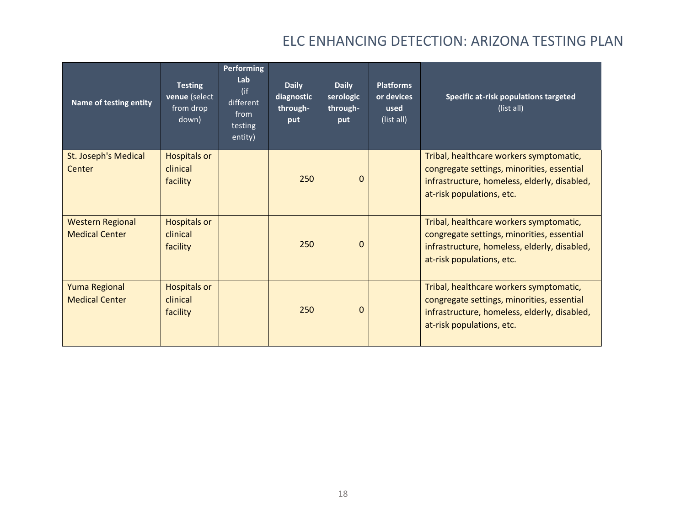| Name of testing entity                           | <b>Testing</b><br>venue (select<br>from drop<br>down) | <b>Performing</b><br>Lab<br>(if<br>different<br>from<br>testing<br>entity) | <b>Daily</b><br>diagnostic<br>through-<br>put | <b>Daily</b><br>serologic<br>through-<br>put | <b>Platforms</b><br>or devices<br>used<br>(list all) | Specific at-risk populations targeted<br>(list all)                                                                                                                |
|--------------------------------------------------|-------------------------------------------------------|----------------------------------------------------------------------------|-----------------------------------------------|----------------------------------------------|------------------------------------------------------|--------------------------------------------------------------------------------------------------------------------------------------------------------------------|
| St. Joseph's Medical<br>Center                   | <b>Hospitals or</b><br>clinical<br>facility           |                                                                            | 250                                           | $\Omega$                                     |                                                      | Tribal, healthcare workers symptomatic,<br>congregate settings, minorities, essential<br>infrastructure, homeless, elderly, disabled,<br>at-risk populations, etc. |
| <b>Western Regional</b><br><b>Medical Center</b> | <b>Hospitals or</b><br>clinical<br>facility           |                                                                            | 250                                           | $\Omega$                                     |                                                      | Tribal, healthcare workers symptomatic,<br>congregate settings, minorities, essential<br>infrastructure, homeless, elderly, disabled,<br>at-risk populations, etc. |
| <b>Yuma Regional</b><br><b>Medical Center</b>    | <b>Hospitals or</b><br>clinical<br>facility           |                                                                            | 250                                           | $\Omega$                                     |                                                      | Tribal, healthcare workers symptomatic,<br>congregate settings, minorities, essential<br>infrastructure, homeless, elderly, disabled,<br>at-risk populations, etc. |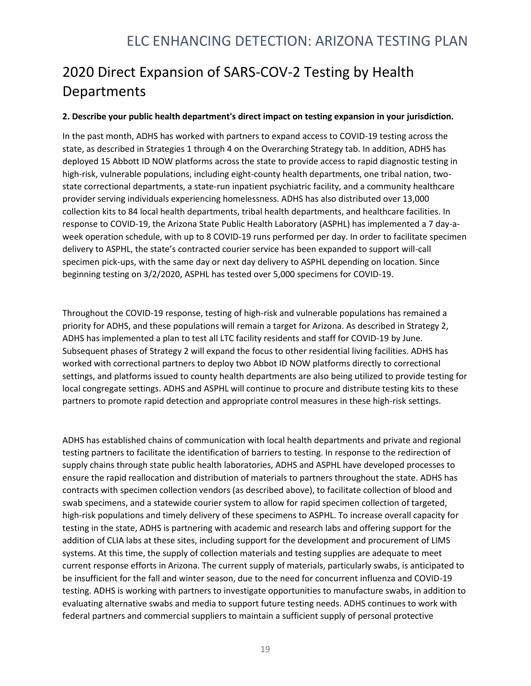# 2020 Direct Expansion of SARS-COV-2 Testing by Health **Departments**

#### **2. Describe your public health department's direct impact on testing expansion in your jurisdiction.**

In the past month, ADHS has worked with partners to expand access to COVID-19 testing across the state, as described in Strategies 1 through 4 on the Overarching Strategy tab. In addition, ADHS has deployed 15 Abbott ID NOW platforms across the state to provide access to rapid diagnostic testing in high-risk, vulnerable populations, including eight-county health departments, one tribal nation, twostate correctional departments, a state-run inpatient psychiatric facility, and a community healthcare provider serving individuals experiencing homelessness. ADHS has also distributed over 13,000 collection kits to 84 local health departments, tribal health departments, and healthcare facilities. In response to COVID-19, the Arizona State Public Health Laboratory (ASPHL) has implemented a 7 day-aweek operation schedule, with up to 8 COVID-19 runs performed per day. In order to facilitate specimen delivery to ASPHL, the state's contracted courier service has been expanded to support will-call specimen pick-ups, with the same day or next day delivery to ASPHL depending on location. Since beginning testing on 3/2/2020, ASPHL has tested over 5,000 specimens for COVID-19.

Throughout the COVID-19 response, testing of high-risk and vulnerable populations has remained a priority for ADHS, and these populations will remain a target for Arizona. As described in Strategy 2, ADHS has implemented a plan to test all LTC facility residents and staff for COVID-19 by June. Subsequent phases of Strategy 2 will expand the focus to other residential living facilities. ADHS has worked with correctional partners to deploy two Abbot ID NOW platforms directly to correctional settings, and platforms issued to county health departments are also being utilized to provide testing for local congregate settings. ADHS and ASPHL will continue to procure and distribute testing kits to these partners to promote rapid detection and appropriate control measures in these high-risk settings.

ADHS has established chains of communication with local health departments and private and regional testing partners to facilitate the identification of barriers to testing. In response to the redirection of supply chains through state public health laboratories, ADHS and ASPHL have developed processes to ensure the rapid reallocation and distribution of materials to partners throughout the state. ADHS has contracts with specimen collection vendors (as described above), to facilitate collection of blood and swab specimens, and a statewide courier system to allow for rapid specimen collection of targeted, high-risk populations and timely delivery of these specimens to ASPHL. To increase overall capacity for testing in the state, ADHS is partnering with academic and research labs and offering support for the addition of CLIA labs at these sites, including support for the development and procurement of LIMS systems. At this time, the supply of collection materials and testing supplies are adequate to meet current response efforts in Arizona. The current supply of materials, particularly swabs, is anticipated to be insufficient for the fall and winter season, due to the need for concurrent influenza and COVID-19 testing. ADHS is working with partners to investigate opportunities to manufacture swabs, in addition to evaluating alternative swabs and media to support future testing needs. ADHS continues to work with federal partners and commercial suppliers to maintain a sufficient supply of personal protective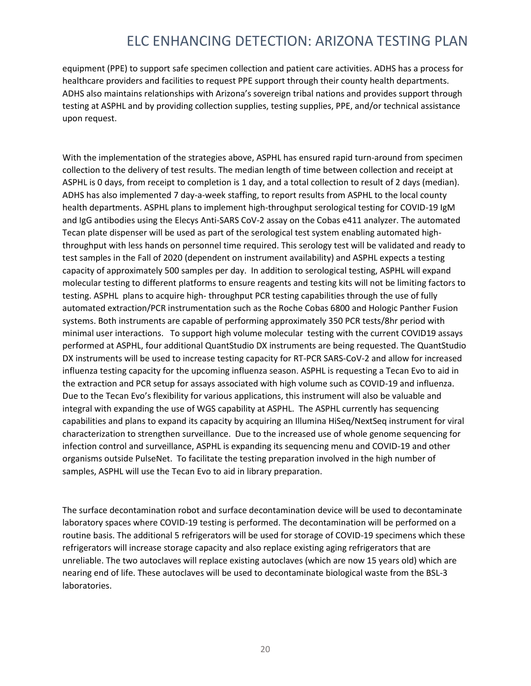equipment (PPE) to support safe specimen collection and patient care activities. ADHS has a process for healthcare providers and facilities to request PPE support through their county health departments. ADHS also maintains relationships with Arizona's sovereign tribal nations and provides support through testing at ASPHL and by providing collection supplies, testing supplies, PPE, and/or technical assistance upon request.

With the implementation of the strategies above, ASPHL has ensured rapid turn-around from specimen collection to the delivery of test results. The median length of time between collection and receipt at ASPHL is 0 days, from receipt to completion is 1 day, and a total collection to result of 2 days (median). ADHS has also implemented 7 day-a-week staffing, to report results from ASPHL to the local county health departments. ASPHL plans to implement high-throughput serological testing for COVID-19 IgM and IgG antibodies using the Elecys Anti-SARS CoV-2 assay on the Cobas e411 analyzer. The automated Tecan plate dispenser will be used as part of the serological test system enabling automated highthroughput with less hands on personnel time required. This serology test will be validated and ready to test samples in the Fall of 2020 (dependent on instrument availability) and ASPHL expects a testing capacity of approximately 500 samples per day. In addition to serological testing, ASPHL will expand molecular testing to different platforms to ensure reagents and testing kits will not be limiting factors to testing. ASPHL plans to acquire high- throughput PCR testing capabilities through the use of fully automated extraction/PCR instrumentation such as the Roche Cobas 6800 and Hologic Panther Fusion systems. Both instruments are capable of performing approximately 350 PCR tests/8hr period with minimal user interactions. To support high volume molecular testing with the current COVID19 assays performed at ASPHL, four additional QuantStudio DX instruments are being requested. The QuantStudio DX instruments will be used to increase testing capacity for RT-PCR SARS-CoV-2 and allow for increased influenza testing capacity for the upcoming influenza season. ASPHL is requesting a Tecan Evo to aid in the extraction and PCR setup for assays associated with high volume such as COVID-19 and influenza. Due to the Tecan Evo's flexibility for various applications, this instrument will also be valuable and integral with expanding the use of WGS capability at ASPHL. The ASPHL currently has sequencing capabilities and plans to expand its capacity by acquiring an Illumina HiSeq/NextSeq instrument for viral characterization to strengthen surveillance. Due to the increased use of whole genome sequencing for infection control and surveillance, ASPHL is expanding its sequencing menu and COVID-19 and other organisms outside PulseNet. To facilitate the testing preparation involved in the high number of samples, ASPHL will use the Tecan Evo to aid in library preparation.

The surface decontamination robot and surface decontamination device will be used to decontaminate laboratory spaces where COVID-19 testing is performed. The decontamination will be performed on a routine basis. The additional 5 refrigerators will be used for storage of COVID-19 specimens which these refrigerators will increase storage capacity and also replace existing aging refrigerators that are unreliable. The two autoclaves will replace existing autoclaves (which are now 15 years old) which are nearing end of life. These autoclaves will be used to decontaminate biological waste from the BSL-3 laboratories.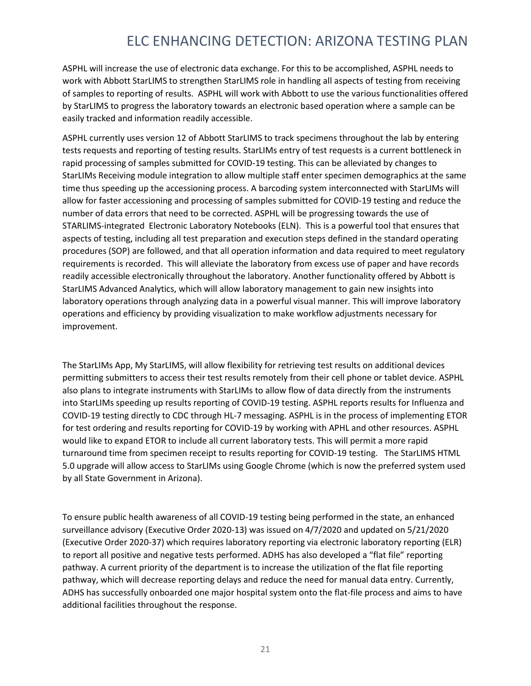ASPHL will increase the use of electronic data exchange. For this to be accomplished, ASPHL needs to work with Abbott StarLIMS to strengthen StarLIMS role in handling all aspects of testing from receiving of samples to reporting of results. ASPHL will work with Abbott to use the various functionalities offered by StarLIMS to progress the laboratory towards an electronic based operation where a sample can be easily tracked and information readily accessible.

ASPHL currently uses version 12 of Abbott StarLIMS to track specimens throughout the lab by entering tests requests and reporting of testing results. StarLIMs entry of test requests is a current bottleneck in rapid processing of samples submitted for COVID-19 testing. This can be alleviated by changes to StarLIMs Receiving module integration to allow multiple staff enter specimen demographics at the same time thus speeding up the accessioning process. A barcoding system interconnected with StarLIMs will allow for faster accessioning and processing of samples submitted for COVID-19 testing and reduce the number of data errors that need to be corrected. ASPHL will be progressing towards the use of STARLIMS-integrated Electronic Laboratory Notebooks (ELN). This is a powerful tool that ensures that aspects of testing, including all test preparation and execution steps defined in the standard operating procedures (SOP) are followed, and that all operation information and data required to meet regulatory requirements is recorded. This will alleviate the laboratory from excess use of paper and have records readily accessible electronically throughout the laboratory. Another functionality offered by Abbott is StarLIMS Advanced Analytics, which will allow laboratory management to gain new insights into laboratory operations through analyzing data in a powerful visual manner. This will improve laboratory operations and efficiency by providing visualization to make workflow adjustments necessary for improvement.

The StarLIMs App, My StarLIMS, will allow flexibility for retrieving test results on additional devices permitting submitters to access their test results remotely from their cell phone or tablet device. ASPHL also plans to integrate instruments with StarLIMs to allow flow of data directly from the instruments into StarLIMs speeding up results reporting of COVID-19 testing. ASPHL reports results for Influenza and COVID-19 testing directly to CDC through HL-7 messaging. ASPHL is in the process of implementing ETOR for test ordering and results reporting for COVID-19 by working with APHL and other resources. ASPHL would like to expand ETOR to include all current laboratory tests. This will permit a more rapid turnaround time from specimen receipt to results reporting for COVID-19 testing. The StarLIMS HTML 5.0 upgrade will allow access to StarLIMs using Google Chrome (which is now the preferred system used by all State Government in Arizona).

To ensure public health awareness of all COVID-19 testing being performed in the state, an enhanced surveillance advisory (Executive Order 2020-13) was issued on 4/7/2020 and updated on 5/21/2020 (Executive Order 2020-37) which requires laboratory reporting via electronic laboratory reporting (ELR) to report all positive and negative tests performed. ADHS has also developed a "flat file" reporting pathway. A current priority of the department is to increase the utilization of the flat file reporting pathway, which will decrease reporting delays and reduce the need for manual data entry. Currently, ADHS has successfully onboarded one major hospital system onto the flat-file process and aims to have additional facilities throughout the response.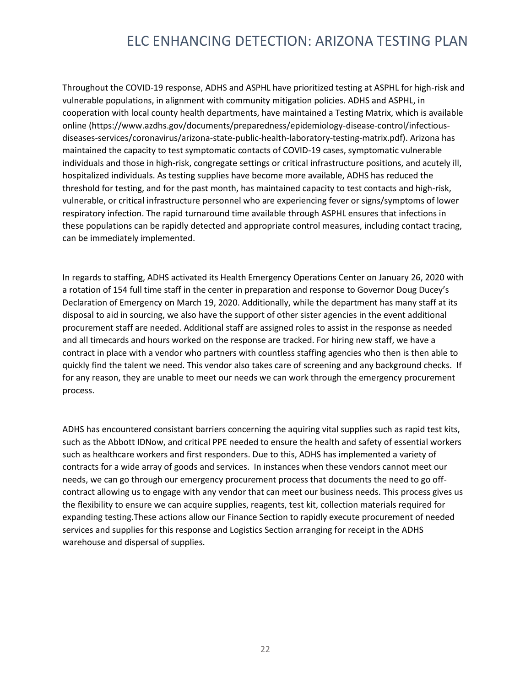Throughout the COVID-19 response, ADHS and ASPHL have prioritized testing at ASPHL for high-risk and vulnerable populations, in alignment with community mitigation policies. ADHS and ASPHL, in cooperation with local county health departments, have maintained a Testing Matrix, which is available online (https://www.azdhs.gov/documents/preparedness/epidemiology-disease-control/infectiousdiseases-services/coronavirus/arizona-state-public-health-laboratory-testing-matrix.pdf). Arizona has maintained the capacity to test symptomatic contacts of COVID-19 cases, symptomatic vulnerable individuals and those in high-risk, congregate settings or critical infrastructure positions, and acutely ill, hospitalized individuals. As testing supplies have become more available, ADHS has reduced the threshold for testing, and for the past month, has maintained capacity to test contacts and high-risk, vulnerable, or critical infrastructure personnel who are experiencing fever or signs/symptoms of lower respiratory infection. The rapid turnaround time available through ASPHL ensures that infections in these populations can be rapidly detected and appropriate control measures, including contact tracing, can be immediately implemented.

In regards to staffing, ADHS activated its Health Emergency Operations Center on January 26, 2020 with a rotation of 154 full time staff in the center in preparation and response to Governor Doug Ducey's Declaration of Emergency on March 19, 2020. Additionally, while the department has many staff at its disposal to aid in sourcing, we also have the support of other sister agencies in the event additional procurement staff are needed. Additional staff are assigned roles to assist in the response as needed and all timecards and hours worked on the response are tracked. For hiring new staff, we have a contract in place with a vendor who partners with countless staffing agencies who then is then able to quickly find the talent we need. This vendor also takes care of screening and any background checks. If for any reason, they are unable to meet our needs we can work through the emergency procurement process.

ADHS has encountered consistant barriers concerning the aquiring vital supplies such as rapid test kits, such as the Abbott IDNow, and critical PPE needed to ensure the health and safety of essential workers such as healthcare workers and first responders. Due to this, ADHS has implemented a variety of contracts for a wide array of goods and services. In instances when these vendors cannot meet our needs, we can go through our emergency procurement process that documents the need to go offcontract allowing us to engage with any vendor that can meet our business needs. This process gives us the flexibility to ensure we can acquire supplies, reagents, test kit, collection materials required for expanding testing.These actions allow our Finance Section to rapidly execute procurement of needed services and supplies for this response and Logistics Section arranging for receipt in the ADHS warehouse and dispersal of supplies.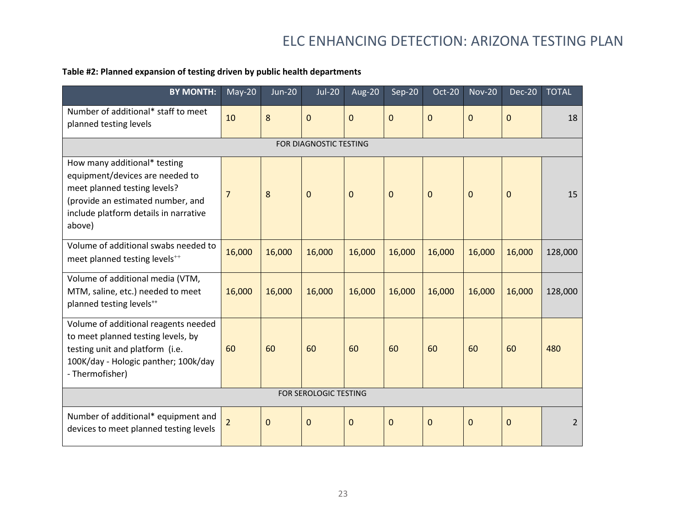#### **Table #2: Planned expansion of testing driven by public health departments**

| <b>BY MONTH:</b>                                                                                                                                                                        | $May-20$       | $Jun-20$    | <b>Jul-20</b>          | Aug-20         | Sep-20      | Oct-20         | <b>Nov-20</b> | Dec-20 | <b>TOTAL</b> |
|-----------------------------------------------------------------------------------------------------------------------------------------------------------------------------------------|----------------|-------------|------------------------|----------------|-------------|----------------|---------------|--------|--------------|
| Number of additional* staff to meet<br>planned testing levels                                                                                                                           | 10             | 8           | $\overline{0}$         | $\overline{0}$ | $\mathbf 0$ | $\overline{0}$ | $\mathbf{0}$  | 0      | 18           |
|                                                                                                                                                                                         |                |             | FOR DIAGNOSTIC TESTING |                |             |                |               |        |              |
| How many additional* testing<br>equipment/devices are needed to<br>meet planned testing levels?<br>(provide an estimated number, and<br>include platform details in narrative<br>above) | $\overline{7}$ | 8           | $\mathbf 0$            | $\mathbf 0$    | $\mathbf 0$ | $\Omega$       | $\mathbf 0$   | 0      | 15           |
| Volume of additional swabs needed to<br>meet planned testing levels <sup>++</sup>                                                                                                       | 16,000         | 16,000      | 16,000                 | 16,000         | 16,000      | 16,000         | 16,000        | 16,000 | 128,000      |
| Volume of additional media (VTM,<br>MTM, saline, etc.) needed to meet<br>planned testing levels <sup>++</sup>                                                                           | 16,000         | 16,000      | 16,000                 | 16,000         | 16,000      | 16,000         | 16,000        | 16,000 | 128,000      |
| Volume of additional reagents needed<br>to meet planned testing levels, by<br>testing unit and platform (i.e.<br>100K/day - Hologic panther; 100k/day<br>- Thermofisher)                | 60             | 60          | 60                     | 60             | 60          | 60             | 60            | 60     | 480          |
| FOR SEROLOGIC TESTING                                                                                                                                                                   |                |             |                        |                |             |                |               |        |              |
| Number of additional* equipment and<br>devices to meet planned testing levels                                                                                                           | $\overline{2}$ | $\mathbf 0$ | $\mathbf 0$            | $\mathbf 0$    | $\mathbf 0$ | $\mathbf{0}$   | 0             | 0      | 2            |